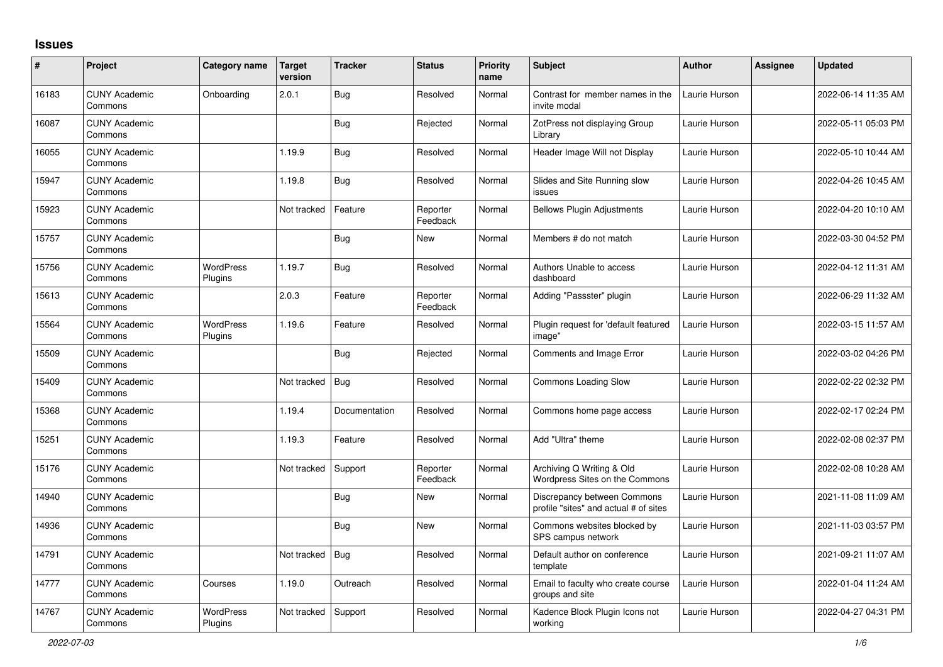## **Issues**

| $\vert$ # | Project                         | <b>Category name</b>        | <b>Target</b><br>version | <b>Tracker</b> | <b>Status</b>        | <b>Priority</b><br>name | <b>Subject</b>                                                       | <b>Author</b> | <b>Assignee</b> | <b>Updated</b>      |
|-----------|---------------------------------|-----------------------------|--------------------------|----------------|----------------------|-------------------------|----------------------------------------------------------------------|---------------|-----------------|---------------------|
| 16183     | <b>CUNY Academic</b><br>Commons | Onboarding                  | 2.0.1                    | Bug            | Resolved             | Normal                  | Contrast for member names in the<br>invite modal                     | Laurie Hurson |                 | 2022-06-14 11:35 AM |
| 16087     | <b>CUNY Academic</b><br>Commons |                             |                          | <b>Bug</b>     | Rejected             | Normal                  | ZotPress not displaying Group<br>Library                             | Laurie Hurson |                 | 2022-05-11 05:03 PM |
| 16055     | <b>CUNY Academic</b><br>Commons |                             | 1.19.9                   | Bug            | Resolved             | Normal                  | Header Image Will not Display                                        | Laurie Hurson |                 | 2022-05-10 10:44 AM |
| 15947     | <b>CUNY Academic</b><br>Commons |                             | 1.19.8                   | <b>Bug</b>     | Resolved             | Normal                  | Slides and Site Running slow<br>issues                               | Laurie Hurson |                 | 2022-04-26 10:45 AM |
| 15923     | <b>CUNY Academic</b><br>Commons |                             | Not tracked              | Feature        | Reporter<br>Feedback | Normal                  | <b>Bellows Plugin Adjustments</b>                                    | Laurie Hurson |                 | 2022-04-20 10:10 AM |
| 15757     | <b>CUNY Academic</b><br>Commons |                             |                          | Bug            | New                  | Normal                  | Members # do not match                                               | Laurie Hurson |                 | 2022-03-30 04:52 PM |
| 15756     | <b>CUNY Academic</b><br>Commons | <b>WordPress</b><br>Plugins | 1.19.7                   | <b>Bug</b>     | Resolved             | Normal                  | Authors Unable to access<br>dashboard                                | Laurie Hurson |                 | 2022-04-12 11:31 AM |
| 15613     | <b>CUNY Academic</b><br>Commons |                             | 2.0.3                    | Feature        | Reporter<br>Feedback | Normal                  | Adding "Passster" plugin                                             | Laurie Hurson |                 | 2022-06-29 11:32 AM |
| 15564     | <b>CUNY Academic</b><br>Commons | <b>WordPress</b><br>Plugins | 1.19.6                   | Feature        | Resolved             | Normal                  | Plugin request for 'default featured<br>image"                       | Laurie Hurson |                 | 2022-03-15 11:57 AM |
| 15509     | <b>CUNY Academic</b><br>Commons |                             |                          | Bug            | Rejected             | Normal                  | Comments and Image Error                                             | Laurie Hurson |                 | 2022-03-02 04:26 PM |
| 15409     | <b>CUNY Academic</b><br>Commons |                             | Not tracked              | <b>Bug</b>     | Resolved             | Normal                  | Commons Loading Slow                                                 | Laurie Hurson |                 | 2022-02-22 02:32 PM |
| 15368     | <b>CUNY Academic</b><br>Commons |                             | 1.19.4                   | Documentation  | Resolved             | Normal                  | Commons home page access                                             | Laurie Hurson |                 | 2022-02-17 02:24 PM |
| 15251     | <b>CUNY Academic</b><br>Commons |                             | 1.19.3                   | Feature        | Resolved             | Normal                  | Add "Ultra" theme                                                    | Laurie Hurson |                 | 2022-02-08 02:37 PM |
| 15176     | <b>CUNY Academic</b><br>Commons |                             | Not tracked              | Support        | Reporter<br>Feedback | Normal                  | Archiving Q Writing & Old<br>Wordpress Sites on the Commons          | Laurie Hurson |                 | 2022-02-08 10:28 AM |
| 14940     | <b>CUNY Academic</b><br>Commons |                             |                          | <b>Bug</b>     | New                  | Normal                  | Discrepancy between Commons<br>profile "sites" and actual # of sites | Laurie Hurson |                 | 2021-11-08 11:09 AM |
| 14936     | <b>CUNY Academic</b><br>Commons |                             |                          | <b>Bug</b>     | New                  | Normal                  | Commons websites blocked by<br>SPS campus network                    | Laurie Hurson |                 | 2021-11-03 03:57 PM |
| 14791     | <b>CUNY Academic</b><br>Commons |                             | Not tracked              | <b>Bug</b>     | Resolved             | Normal                  | Default author on conference<br>template                             | Laurie Hurson |                 | 2021-09-21 11:07 AM |
| 14777     | <b>CUNY Academic</b><br>Commons | Courses                     | 1.19.0                   | Outreach       | Resolved             | Normal                  | Email to faculty who create course<br>groups and site                | Laurie Hurson |                 | 2022-01-04 11:24 AM |
| 14767     | <b>CUNY Academic</b><br>Commons | <b>WordPress</b><br>Plugins | Not tracked              | Support        | Resolved             | Normal                  | Kadence Block Plugin Icons not<br>working                            | Laurie Hurson |                 | 2022-04-27 04:31 PM |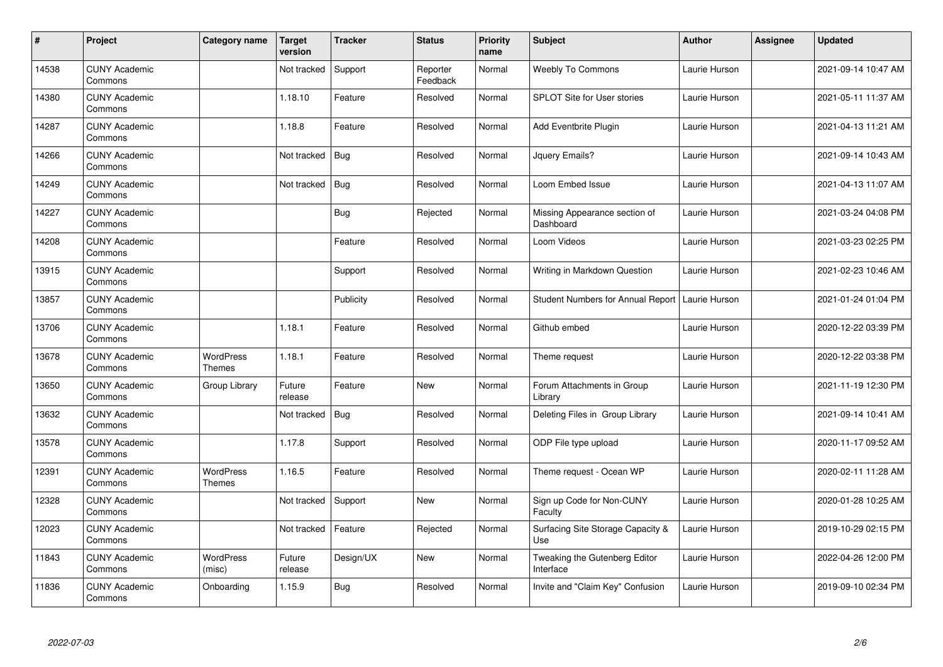| $\sharp$ | Project                         | Category name                     | <b>Target</b><br>version | <b>Tracker</b> | <b>Status</b>        | <b>Priority</b><br>name | <b>Subject</b>                                    | <b>Author</b> | <b>Assignee</b> | <b>Updated</b>      |
|----------|---------------------------------|-----------------------------------|--------------------------|----------------|----------------------|-------------------------|---------------------------------------------------|---------------|-----------------|---------------------|
| 14538    | <b>CUNY Academic</b><br>Commons |                                   | Not tracked              | Support        | Reporter<br>Feedback | Normal                  | Weebly To Commons                                 | Laurie Hurson |                 | 2021-09-14 10:47 AM |
| 14380    | <b>CUNY Academic</b><br>Commons |                                   | 1.18.10                  | Feature        | Resolved             | Normal                  | <b>SPLOT Site for User stories</b>                | Laurie Hurson |                 | 2021-05-11 11:37 AM |
| 14287    | <b>CUNY Academic</b><br>Commons |                                   | 1.18.8                   | Feature        | Resolved             | Normal                  | Add Eventbrite Plugin                             | Laurie Hurson |                 | 2021-04-13 11:21 AM |
| 14266    | <b>CUNY Academic</b><br>Commons |                                   | Not tracked              | Bug            | Resolved             | Normal                  | Jquery Emails?                                    | Laurie Hurson |                 | 2021-09-14 10:43 AM |
| 14249    | <b>CUNY Academic</b><br>Commons |                                   | Not tracked              | <b>Bug</b>     | Resolved             | Normal                  | Loom Embed Issue                                  | Laurie Hurson |                 | 2021-04-13 11:07 AM |
| 14227    | <b>CUNY Academic</b><br>Commons |                                   |                          | Bug            | Rejected             | Normal                  | Missing Appearance section of<br>Dashboard        | Laurie Hurson |                 | 2021-03-24 04:08 PM |
| 14208    | <b>CUNY Academic</b><br>Commons |                                   |                          | Feature        | Resolved             | Normal                  | Loom Videos                                       | Laurie Hurson |                 | 2021-03-23 02:25 PM |
| 13915    | <b>CUNY Academic</b><br>Commons |                                   |                          | Support        | Resolved             | Normal                  | Writing in Markdown Question                      | Laurie Hurson |                 | 2021-02-23 10:46 AM |
| 13857    | <b>CUNY Academic</b><br>Commons |                                   |                          | Publicity      | Resolved             | Normal                  | Student Numbers for Annual Report   Laurie Hurson |               |                 | 2021-01-24 01:04 PM |
| 13706    | <b>CUNY Academic</b><br>Commons |                                   | 1.18.1                   | Feature        | Resolved             | Normal                  | Github embed                                      | Laurie Hurson |                 | 2020-12-22 03:39 PM |
| 13678    | <b>CUNY Academic</b><br>Commons | <b>WordPress</b><br>Themes        | 1.18.1                   | Feature        | Resolved             | Normal                  | Theme request                                     | Laurie Hurson |                 | 2020-12-22 03:38 PM |
| 13650    | <b>CUNY Academic</b><br>Commons | Group Library                     | Future<br>release        | Feature        | New                  | Normal                  | Forum Attachments in Group<br>Library             | Laurie Hurson |                 | 2021-11-19 12:30 PM |
| 13632    | <b>CUNY Academic</b><br>Commons |                                   | Not tracked              | <b>Bug</b>     | Resolved             | Normal                  | Deleting Files in Group Library                   | Laurie Hurson |                 | 2021-09-14 10:41 AM |
| 13578    | <b>CUNY Academic</b><br>Commons |                                   | 1.17.8                   | Support        | Resolved             | Normal                  | ODP File type upload                              | Laurie Hurson |                 | 2020-11-17 09:52 AM |
| 12391    | <b>CUNY Academic</b><br>Commons | <b>WordPress</b><br><b>Themes</b> | 1.16.5                   | Feature        | Resolved             | Normal                  | Theme request - Ocean WP                          | Laurie Hurson |                 | 2020-02-11 11:28 AM |
| 12328    | <b>CUNY Academic</b><br>Commons |                                   | Not tracked              | Support        | New                  | Normal                  | Sign up Code for Non-CUNY<br>Faculty              | Laurie Hurson |                 | 2020-01-28 10:25 AM |
| 12023    | <b>CUNY Academic</b><br>Commons |                                   | Not tracked              | Feature        | Rejected             | Normal                  | Surfacing Site Storage Capacity &<br>Use          | Laurie Hurson |                 | 2019-10-29 02:15 PM |
| 11843    | <b>CUNY Academic</b><br>Commons | <b>WordPress</b><br>(misc)        | Future<br>release        | Design/UX      | New                  | Normal                  | Tweaking the Gutenberg Editor<br>Interface        | Laurie Hurson |                 | 2022-04-26 12:00 PM |
| 11836    | <b>CUNY Academic</b><br>Commons | Onboarding                        | 1.15.9                   | <b>Bug</b>     | Resolved             | Normal                  | Invite and "Claim Key" Confusion                  | Laurie Hurson |                 | 2019-09-10 02:34 PM |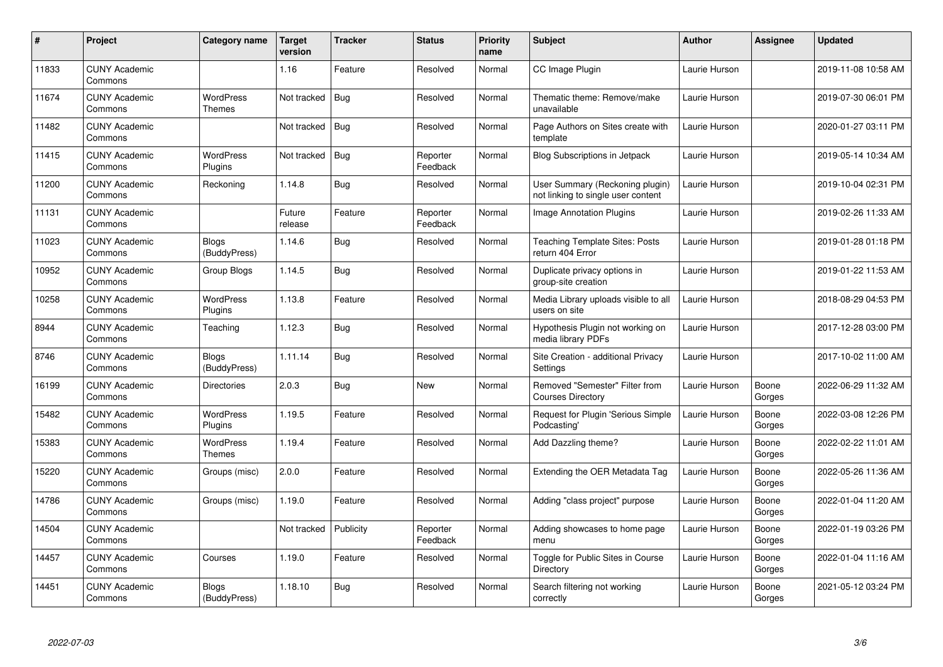| $\#$  | Project                         | Category name                | <b>Target</b><br>version | <b>Tracker</b> | <b>Status</b>        | <b>Priority</b><br>name | <b>Subject</b>                                                        | <b>Author</b> | Assignee        | Updated             |
|-------|---------------------------------|------------------------------|--------------------------|----------------|----------------------|-------------------------|-----------------------------------------------------------------------|---------------|-----------------|---------------------|
| 11833 | <b>CUNY Academic</b><br>Commons |                              | 1.16                     | Feature        | Resolved             | Normal                  | CC Image Plugin                                                       | Laurie Hurson |                 | 2019-11-08 10:58 AM |
| 11674 | <b>CUNY Academic</b><br>Commons | WordPress<br>Themes          | Not tracked              | Bug            | Resolved             | Normal                  | Thematic theme: Remove/make<br>unavailable                            | Laurie Hurson |                 | 2019-07-30 06:01 PM |
| 11482 | <b>CUNY Academic</b><br>Commons |                              | Not tracked              | <b>Bug</b>     | Resolved             | Normal                  | Page Authors on Sites create with<br>template                         | Laurie Hurson |                 | 2020-01-27 03:11 PM |
| 11415 | <b>CUNY Academic</b><br>Commons | WordPress<br>Plugins         | Not tracked              | <b>Bug</b>     | Reporter<br>Feedback | Normal                  | Blog Subscriptions in Jetpack                                         | Laurie Hurson |                 | 2019-05-14 10:34 AM |
| 11200 | <b>CUNY Academic</b><br>Commons | Reckoning                    | 1.14.8                   | Bug            | Resolved             | Normal                  | User Summary (Reckoning plugin)<br>not linking to single user content | Laurie Hurson |                 | 2019-10-04 02:31 PM |
| 11131 | <b>CUNY Academic</b><br>Commons |                              | Future<br>release        | Feature        | Reporter<br>Feedback | Normal                  | Image Annotation Plugins                                              | Laurie Hurson |                 | 2019-02-26 11:33 AM |
| 11023 | <b>CUNY Academic</b><br>Commons | <b>Blogs</b><br>(BuddyPress) | 1.14.6                   | <b>Bug</b>     | Resolved             | Normal                  | Teaching Template Sites: Posts<br>return 404 Error                    | Laurie Hurson |                 | 2019-01-28 01:18 PM |
| 10952 | <b>CUNY Academic</b><br>Commons | Group Blogs                  | 1.14.5                   | Bug            | Resolved             | Normal                  | Duplicate privacy options in<br>group-site creation                   | Laurie Hurson |                 | 2019-01-22 11:53 AM |
| 10258 | <b>CUNY Academic</b><br>Commons | <b>WordPress</b><br>Plugins  | 1.13.8                   | Feature        | Resolved             | Normal                  | Media Library uploads visible to all<br>users on site                 | Laurie Hurson |                 | 2018-08-29 04:53 PM |
| 8944  | <b>CUNY Academic</b><br>Commons | Teaching                     | 1.12.3                   | Bug            | Resolved             | Normal                  | Hypothesis Plugin not working on<br>media library PDFs                | Laurie Hurson |                 | 2017-12-28 03:00 PM |
| 8746  | <b>CUNY Academic</b><br>Commons | Blogs<br>(BuddyPress)        | 1.11.14                  | <b>Bug</b>     | Resolved             | Normal                  | Site Creation - additional Privacy<br>Settings                        | Laurie Hurson |                 | 2017-10-02 11:00 AM |
| 16199 | <b>CUNY Academic</b><br>Commons | <b>Directories</b>           | 2.0.3                    | Bug            | <b>New</b>           | Normal                  | Removed "Semester" Filter from<br><b>Courses Directory</b>            | Laurie Hurson | Boone<br>Gorges | 2022-06-29 11:32 AM |
| 15482 | <b>CUNY Academic</b><br>Commons | <b>WordPress</b><br>Plugins  | 1.19.5                   | Feature        | Resolved             | Normal                  | Request for Plugin 'Serious Simple<br>Podcasting'                     | Laurie Hurson | Boone<br>Gorges | 2022-03-08 12:26 PM |
| 15383 | <b>CUNY Academic</b><br>Commons | <b>WordPress</b><br>Themes   | 1.19.4                   | Feature        | Resolved             | Normal                  | Add Dazzling theme?                                                   | Laurie Hurson | Boone<br>Gorges | 2022-02-22 11:01 AM |
| 15220 | <b>CUNY Academic</b><br>Commons | Groups (misc)                | 2.0.0                    | Feature        | Resolved             | Normal                  | Extending the OER Metadata Tag                                        | Laurie Hurson | Boone<br>Gorges | 2022-05-26 11:36 AM |
| 14786 | <b>CUNY Academic</b><br>Commons | Groups (misc)                | 1.19.0                   | Feature        | Resolved             | Normal                  | Adding "class project" purpose                                        | Laurie Hurson | Boone<br>Gorges | 2022-01-04 11:20 AM |
| 14504 | <b>CUNY Academic</b><br>Commons |                              | Not tracked              | Publicity      | Reporter<br>Feedback | Normal                  | Adding showcases to home page<br>menu                                 | Laurie Hurson | Boone<br>Gorges | 2022-01-19 03:26 PM |
| 14457 | <b>CUNY Academic</b><br>Commons | Courses                      | 1.19.0                   | Feature        | Resolved             | Normal                  | Toggle for Public Sites in Course<br>Directory                        | Laurie Hurson | Boone<br>Gorges | 2022-01-04 11:16 AM |
| 14451 | <b>CUNY Academic</b><br>Commons | Blogs<br>(BuddyPress)        | 1.18.10                  | <b>Bug</b>     | Resolved             | Normal                  | Search filtering not working<br>correctly                             | Laurie Hurson | Boone<br>Gorges | 2021-05-12 03:24 PM |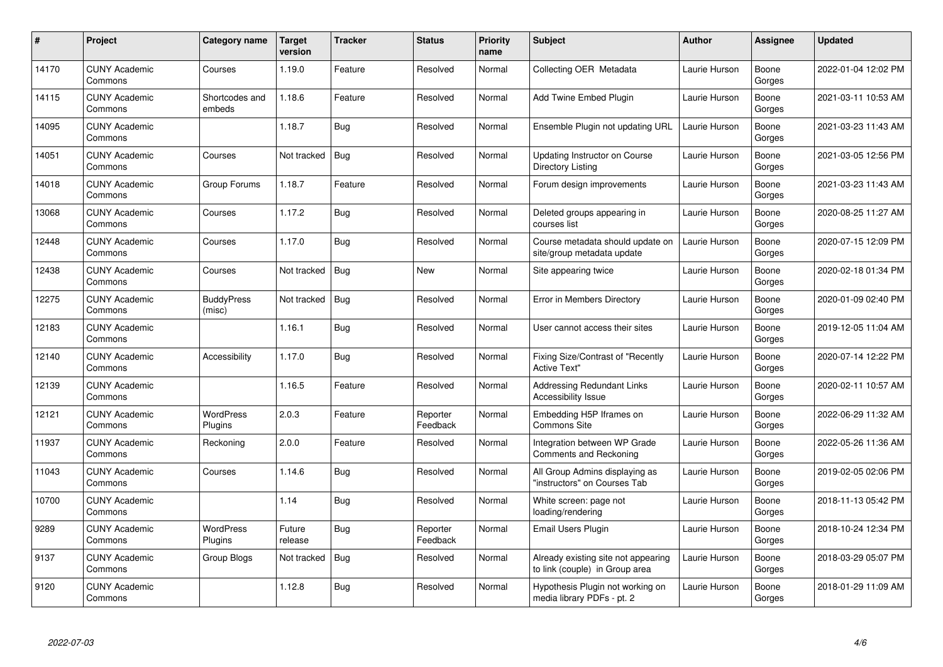| $\pmb{\#}$ | Project                         | Category name               | <b>Target</b><br>version | <b>Tracker</b> | <b>Status</b>        | <b>Priority</b><br>name | <b>Subject</b>                                                        | <b>Author</b> | <b>Assignee</b> | <b>Updated</b>      |
|------------|---------------------------------|-----------------------------|--------------------------|----------------|----------------------|-------------------------|-----------------------------------------------------------------------|---------------|-----------------|---------------------|
| 14170      | <b>CUNY Academic</b><br>Commons | Courses                     | 1.19.0                   | Feature        | Resolved             | Normal                  | Collecting OER Metadata                                               | Laurie Hurson | Boone<br>Gorges | 2022-01-04 12:02 PM |
| 14115      | <b>CUNY Academic</b><br>Commons | Shortcodes and<br>embeds    | 1.18.6                   | Feature        | Resolved             | Normal                  | Add Twine Embed Plugin                                                | Laurie Hurson | Boone<br>Gorges | 2021-03-11 10:53 AM |
| 14095      | <b>CUNY Academic</b><br>Commons |                             | 1.18.7                   | <b>Bug</b>     | Resolved             | Normal                  | Ensemble Plugin not updating URL                                      | Laurie Hurson | Boone<br>Gorges | 2021-03-23 11:43 AM |
| 14051      | <b>CUNY Academic</b><br>Commons | Courses                     | Not tracked              | Bug            | Resolved             | Normal                  | Updating Instructor on Course<br>Directory Listing                    | Laurie Hurson | Boone<br>Gorges | 2021-03-05 12:56 PM |
| 14018      | <b>CUNY Academic</b><br>Commons | Group Forums                | 1.18.7                   | Feature        | Resolved             | Normal                  | Forum design improvements                                             | Laurie Hurson | Boone<br>Gorges | 2021-03-23 11:43 AM |
| 13068      | <b>CUNY Academic</b><br>Commons | Courses                     | 1.17.2                   | Bug            | Resolved             | Normal                  | Deleted groups appearing in<br>courses list                           | Laurie Hurson | Boone<br>Gorges | 2020-08-25 11:27 AM |
| 12448      | <b>CUNY Academic</b><br>Commons | Courses                     | 1.17.0                   | <b>Bug</b>     | Resolved             | Normal                  | Course metadata should update on<br>site/group metadata update        | Laurie Hurson | Boone<br>Gorges | 2020-07-15 12:09 PM |
| 12438      | <b>CUNY Academic</b><br>Commons | Courses                     | Not tracked              | Bug            | <b>New</b>           | Normal                  | Site appearing twice                                                  | Laurie Hurson | Boone<br>Gorges | 2020-02-18 01:34 PM |
| 12275      | <b>CUNY Academic</b><br>Commons | <b>BuddyPress</b><br>(misc) | Not tracked              | <b>Bug</b>     | Resolved             | Normal                  | Error in Members Directory                                            | Laurie Hurson | Boone<br>Gorges | 2020-01-09 02:40 PM |
| 12183      | <b>CUNY Academic</b><br>Commons |                             | 1.16.1                   | Bug            | Resolved             | Normal                  | User cannot access their sites                                        | Laurie Hurson | Boone<br>Gorges | 2019-12-05 11:04 AM |
| 12140      | <b>CUNY Academic</b><br>Commons | Accessibility               | 1.17.0                   | <b>Bug</b>     | Resolved             | Normal                  | Fixing Size/Contrast of "Recently<br><b>Active Text"</b>              | Laurie Hurson | Boone<br>Gorges | 2020-07-14 12:22 PM |
| 12139      | <b>CUNY Academic</b><br>Commons |                             | 1.16.5                   | Feature        | Resolved             | Normal                  | <b>Addressing Redundant Links</b><br>Accessibility Issue              | Laurie Hurson | Boone<br>Gorges | 2020-02-11 10:57 AM |
| 12121      | <b>CUNY Academic</b><br>Commons | <b>WordPress</b><br>Plugins | 2.0.3                    | Feature        | Reporter<br>Feedback | Normal                  | Embedding H5P Iframes on<br><b>Commons Site</b>                       | Laurie Hurson | Boone<br>Gorges | 2022-06-29 11:32 AM |
| 11937      | <b>CUNY Academic</b><br>Commons | Reckoning                   | 2.0.0                    | Feature        | Resolved             | Normal                  | Integration between WP Grade<br>Comments and Reckoning                | Laurie Hurson | Boone<br>Gorges | 2022-05-26 11:36 AM |
| 11043      | <b>CUNY Academic</b><br>Commons | Courses                     | 1.14.6                   | <b>Bug</b>     | Resolved             | Normal                  | All Group Admins displaying as<br>"instructors" on Courses Tab        | Laurie Hurson | Boone<br>Gorges | 2019-02-05 02:06 PM |
| 10700      | <b>CUNY Academic</b><br>Commons |                             | 1.14                     | <b>Bug</b>     | Resolved             | Normal                  | White screen: page not<br>loading/rendering                           | Laurie Hurson | Boone<br>Gorges | 2018-11-13 05:42 PM |
| 9289       | <b>CUNY Academic</b><br>Commons | <b>WordPress</b><br>Plugins | Future<br>release        | Bug            | Reporter<br>Feedback | Normal                  | <b>Email Users Plugin</b>                                             | Laurie Hurson | Boone<br>Gorges | 2018-10-24 12:34 PM |
| 9137       | <b>CUNY Academic</b><br>Commons | Group Blogs                 | Not tracked              | Bug            | Resolved             | Normal                  | Already existing site not appearing<br>to link (couple) in Group area | Laurie Hurson | Boone<br>Gorges | 2018-03-29 05:07 PM |
| 9120       | <b>CUNY Academic</b><br>Commons |                             | 1.12.8                   | Bug            | Resolved             | Normal                  | Hypothesis Plugin not working on<br>media library PDFs - pt. 2        | Laurie Hurson | Boone<br>Gorges | 2018-01-29 11:09 AM |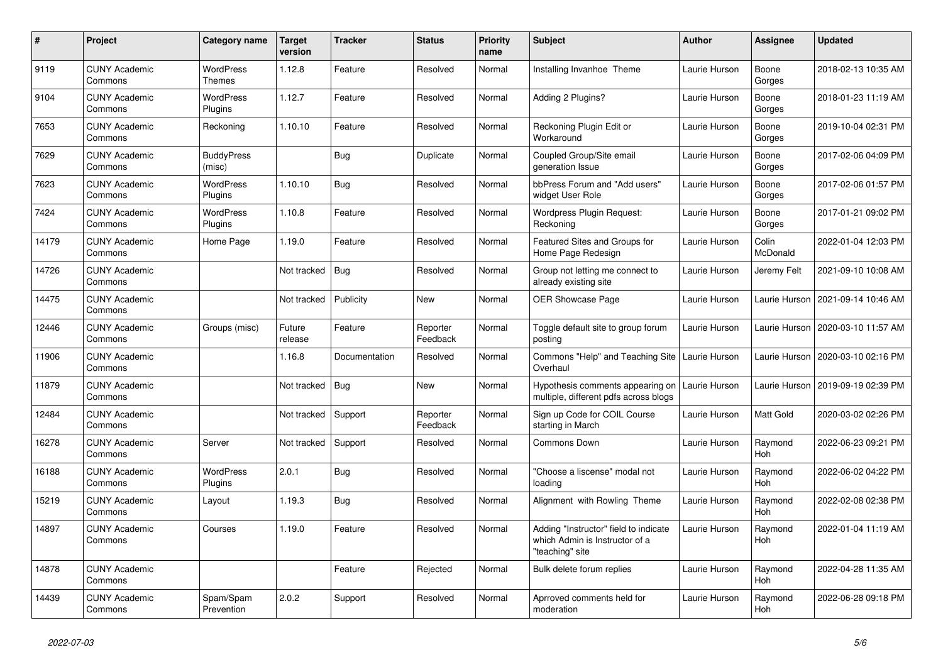| #     | Project                         | Category name                     | <b>Target</b><br>version | <b>Tracker</b> | <b>Status</b>        | <b>Priority</b><br>name | <b>Subject</b>                                                                             | Author        | <b>Assignee</b>   | <b>Updated</b>      |
|-------|---------------------------------|-----------------------------------|--------------------------|----------------|----------------------|-------------------------|--------------------------------------------------------------------------------------------|---------------|-------------------|---------------------|
| 9119  | <b>CUNY Academic</b><br>Commons | <b>WordPress</b><br><b>Themes</b> | 1.12.8                   | Feature        | Resolved             | Normal                  | Installing Invanhoe Theme                                                                  | Laurie Hurson | Boone<br>Gorges   | 2018-02-13 10:35 AM |
| 9104  | <b>CUNY Academic</b><br>Commons | <b>WordPress</b><br>Plugins       | 1.12.7                   | Feature        | Resolved             | Normal                  | Adding 2 Plugins?                                                                          | Laurie Hurson | Boone<br>Gorges   | 2018-01-23 11:19 AM |
| 7653  | <b>CUNY Academic</b><br>Commons | Reckoning                         | 1.10.10                  | Feature        | Resolved             | Normal                  | Reckoning Plugin Edit or<br>Workaround                                                     | Laurie Hurson | Boone<br>Gorges   | 2019-10-04 02:31 PM |
| 7629  | <b>CUNY Academic</b><br>Commons | <b>BuddyPress</b><br>(misc)       |                          | Bug            | Duplicate            | Normal                  | Coupled Group/Site email<br>generation Issue                                               | Laurie Hurson | Boone<br>Gorges   | 2017-02-06 04:09 PM |
| 7623  | <b>CUNY Academic</b><br>Commons | <b>WordPress</b><br>Plugins       | 1.10.10                  | <b>Bug</b>     | Resolved             | Normal                  | bbPress Forum and "Add users"<br>widget User Role                                          | Laurie Hurson | Boone<br>Gorges   | 2017-02-06 01:57 PM |
| 7424  | <b>CUNY Academic</b><br>Commons | <b>WordPress</b><br>Plugins       | 1.10.8                   | Feature        | Resolved             | Normal                  | Wordpress Plugin Request:<br>Reckoning                                                     | Laurie Hurson | Boone<br>Gorges   | 2017-01-21 09:02 PM |
| 14179 | <b>CUNY Academic</b><br>Commons | Home Page                         | 1.19.0                   | Feature        | Resolved             | Normal                  | Featured Sites and Groups for<br>Home Page Redesign                                        | Laurie Hurson | Colin<br>McDonald | 2022-01-04 12:03 PM |
| 14726 | <b>CUNY Academic</b><br>Commons |                                   | Not tracked              | Bug            | Resolved             | Normal                  | Group not letting me connect to<br>already existing site                                   | Laurie Hurson | Jeremy Felt       | 2021-09-10 10:08 AM |
| 14475 | <b>CUNY Academic</b><br>Commons |                                   | Not tracked              | Publicity      | New                  | Normal                  | <b>OER Showcase Page</b>                                                                   | Laurie Hurson | Laurie Hurson     | 2021-09-14 10:46 AM |
| 12446 | <b>CUNY Academic</b><br>Commons | Groups (misc)                     | Future<br>release        | Feature        | Reporter<br>Feedback | Normal                  | Toggle default site to group forum<br>postina                                              | Laurie Hurson | Laurie Hurson     | 2020-03-10 11:57 AM |
| 11906 | <b>CUNY Academic</b><br>Commons |                                   | 1.16.8                   | Documentation  | Resolved             | Normal                  | Commons "Help" and Teaching Site  <br>Overhaul                                             | Laurie Hurson | Laurie Hurson     | 2020-03-10 02:16 PM |
| 11879 | <b>CUNY Academic</b><br>Commons |                                   | Not tracked              | Bug            | <b>New</b>           | Normal                  | Hypothesis comments appearing on<br>multiple, different pdfs across blogs                  | Laurie Hurson | Laurie Hurson     | 2019-09-19 02:39 PM |
| 12484 | <b>CUNY Academic</b><br>Commons |                                   | Not tracked              | Support        | Reporter<br>Feedback | Normal                  | Sign up Code for COIL Course<br>starting in March                                          | Laurie Hurson | Matt Gold         | 2020-03-02 02:26 PM |
| 16278 | <b>CUNY Academic</b><br>Commons | Server                            | Not tracked              | Support        | Resolved             | Normal                  | Commons Down                                                                               | Laurie Hurson | Raymond<br>Hoh    | 2022-06-23 09:21 PM |
| 16188 | <b>CUNY Academic</b><br>Commons | <b>WordPress</b><br>Plugins       | 2.0.1                    | Bug            | Resolved             | Normal                  | "Choose a liscense" modal not<br>loading                                                   | Laurie Hurson | Raymond<br>Hoh    | 2022-06-02 04:22 PM |
| 15219 | <b>CUNY Academic</b><br>Commons | Layout                            | 1.19.3                   | <b>Bug</b>     | Resolved             | Normal                  | Alignment with Rowling Theme                                                               | Laurie Hurson | Raymond<br>Hoh    | 2022-02-08 02:38 PM |
| 14897 | <b>CUNY Academic</b><br>Commons | Courses                           | 1.19.0                   | Feature        | Resolved             | Normal                  | Adding "Instructor" field to indicate<br>which Admin is Instructor of a<br>"teaching" site | Laurie Hurson | Raymond<br>Hoh    | 2022-01-04 11:19 AM |
| 14878 | <b>CUNY Academic</b><br>Commons |                                   |                          | Feature        | Rejected             | Normal                  | Bulk delete forum replies                                                                  | Laurie Hurson | Raymond<br>Hoh    | 2022-04-28 11:35 AM |
| 14439 | <b>CUNY Academic</b><br>Commons | Spam/Spam<br>Prevention           | 2.0.2                    | Support        | Resolved             | Normal                  | Aprroved comments held for<br>moderation                                                   | Laurie Hurson | Raymond<br>Hoh    | 2022-06-28 09:18 PM |